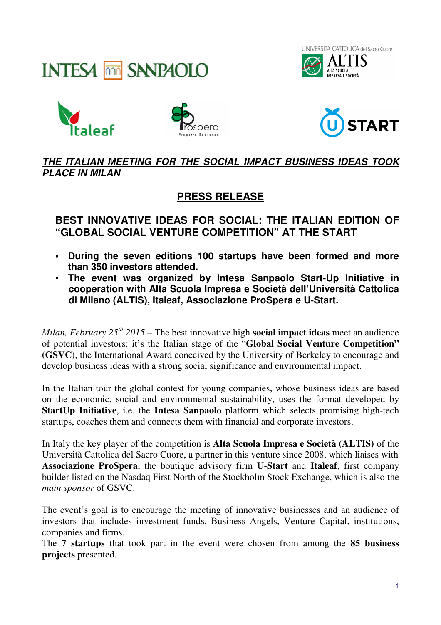UNIVERSITÀ CATTOLICA del Sacro Cuore

ALTA SCUOLA<br>IMPRESA E SOCIETÀ









# **THE ITALIAN MEETING FOR THE SOCIAL IMPACT BUSINESS IDEAS TOOK PLACE IN MILAN**

# **PRESS RELEASE**

# **BEST INNOVATIVE IDEAS FOR SOCIAL: THE ITALIAN EDITION OF "GLOBAL SOCIAL VENTURE COMPETITION" AT THE START**

- **During the seven editions 100 startups have been formed and more than 350 investors attended.**
- **The event was organized by Intesa Sanpaolo Start-Up Initiative in cooperation with Alta Scuola Impresa e Società dell'Università Cattolica di Milano (ALTIS), Italeaf, Associazione ProSpera e U-Start.**

*Milan, February 25th 2015* – The best innovative high **social impact ideas** meet an audience of potential investors: it's the Italian stage of the "**Global Social Venture Competition" (GSVC)**, the International Award conceived by the University of Berkeley to encourage and develop business ideas with a strong social significance and environmental impact.

In the Italian tour the global contest for young companies, whose business ideas are based on the economic, social and environmental sustainability, uses the format developed by **StartUp Initiative**, i.e. the **Intesa Sanpaolo** platform which selects promising high-tech startups, coaches them and connects them with financial and corporate investors.

In Italy the key player of the competition is **Alta Scuola Impresa e Società (ALTIS)** of the Università Cattolica del Sacro Cuore, a partner in this venture since 2008, which liaises with **Associazione ProSpera**, the boutique advisory firm **U-Start** and **Italeaf**, first company builder listed on the Nasdaq First North of the Stockholm Stock Exchange, which is also the *main sponsor* of GSVC.

The event's goal is to encourage the meeting of innovative businesses and an audience of investors that includes investment funds, Business Angels, Venture Capital, institutions, companies and firms.

The **7 startups** that took part in the event were chosen from among the **85 business projects** presented.